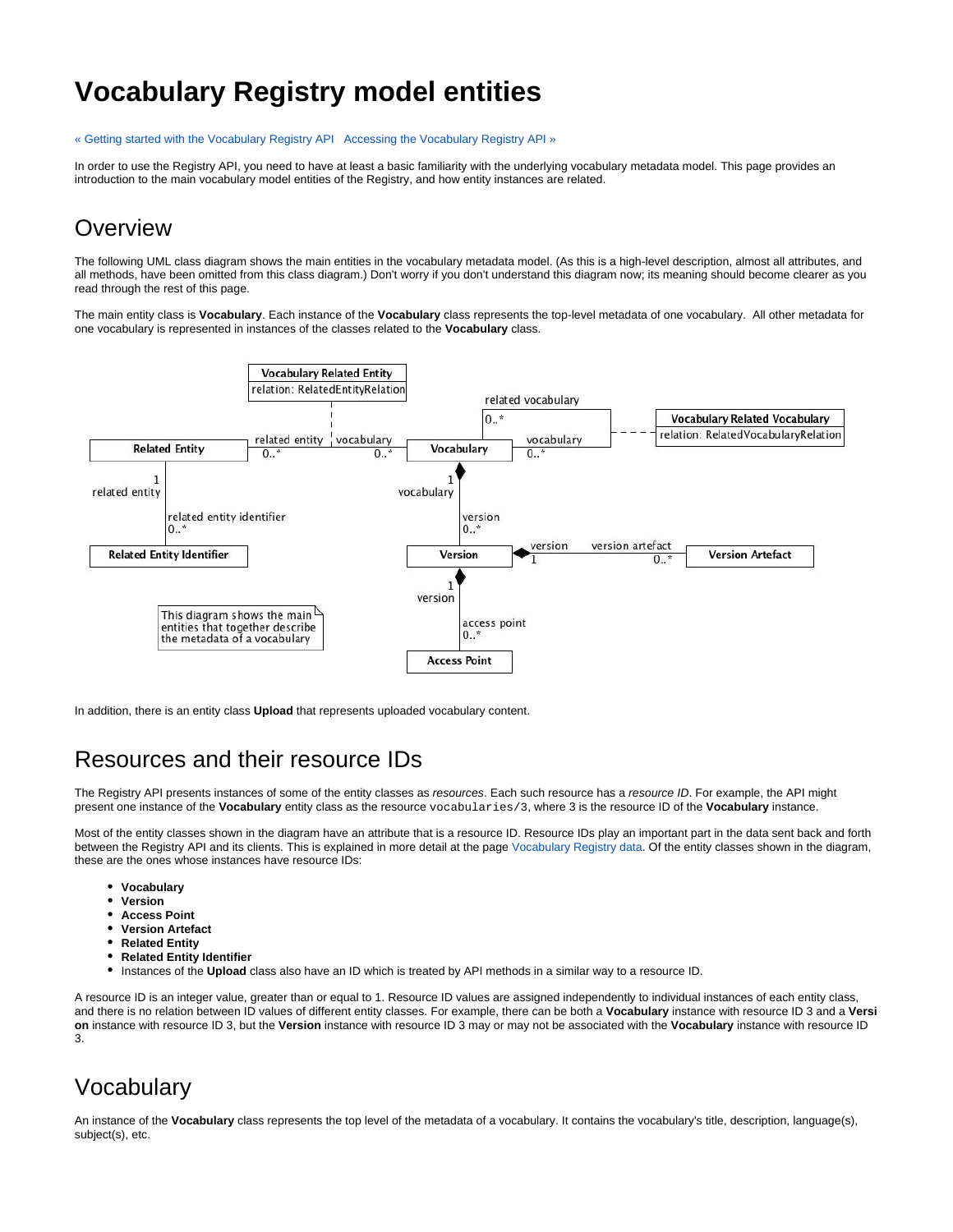# **Vocabulary Registry model entities**

#### [« Getting started with the Vocabulary Registry API](https://intranet.ands.org.au/display/DOC/Getting+started+with+the+Vocabulary+Registry+API) [Accessing the Vocabulary Registry API »](https://intranet.ands.org.au/display/DOC/Accessing+the+Vocabulary+Registry+API)

In order to use the Registry API, you need to have at least a basic familiarity with the underlying vocabulary metadata model. This page provides an introduction to the main vocabulary model entities of the Registry, and how entity instances are related.

#### **Overview**

The following UML class diagram shows the main entities in the vocabulary metadata model. (As this is a high-level description, almost all attributes, and all methods, have been omitted from this class diagram.) Don't worry if you don't understand this diagram now; its meaning should become clearer as you read through the rest of this page.

The main entity class is **Vocabulary**. Each instance of the **Vocabulary** class represents the top-level metadata of one vocabulary. All other metadata for one vocabulary is represented in instances of the classes related to the **Vocabulary** class.



In addition, there is an entity class **Upload** that represents uploaded vocabulary content.

### Resources and their resource IDs

The Registry API presents instances of some of the entity classes as resources. Each such resource has a resource ID. For example, the API might present one instance of the **Vocabulary** entity class as the resource vocabularies/3, where 3 is the resource ID of the **Vocabulary** instance.

Most of the entity classes shown in the diagram have an attribute that is a resource ID. Resource IDs play an important part in the data sent back and forth between the Registry API and its clients. This is explained in more detail at the page [Vocabulary Registry data.](https://intranet.ands.org.au/display/DOC/Vocabulary+Registry+data) Of the entity classes shown in the diagram, these are the ones whose instances have resource IDs:

- **Vocabulary**
- **Version**
- **Access Point**
- **Version Artefact**
- **Related Entity**
- $\bullet$ **Related Entity Identifier**
- Instances of the **Upload** class also have an ID which is treated by API methods in a similar way to a resource ID.

A resource ID is an integer value, greater than or equal to 1. Resource ID values are assigned independently to individual instances of each entity class, and there is no relation between ID values of different entity classes. For example, there can be both a **Vocabulary** instance with resource ID 3 and a **Versi on** instance with resource ID 3, but the **Version** instance with resource ID 3 may or may not be associated with the **Vocabulary** instance with resource ID 3.

#### Vocabulary

An instance of the **Vocabulary** class represents the top level of the metadata of a vocabulary. It contains the vocabulary's title, description, language(s), subject(s), etc.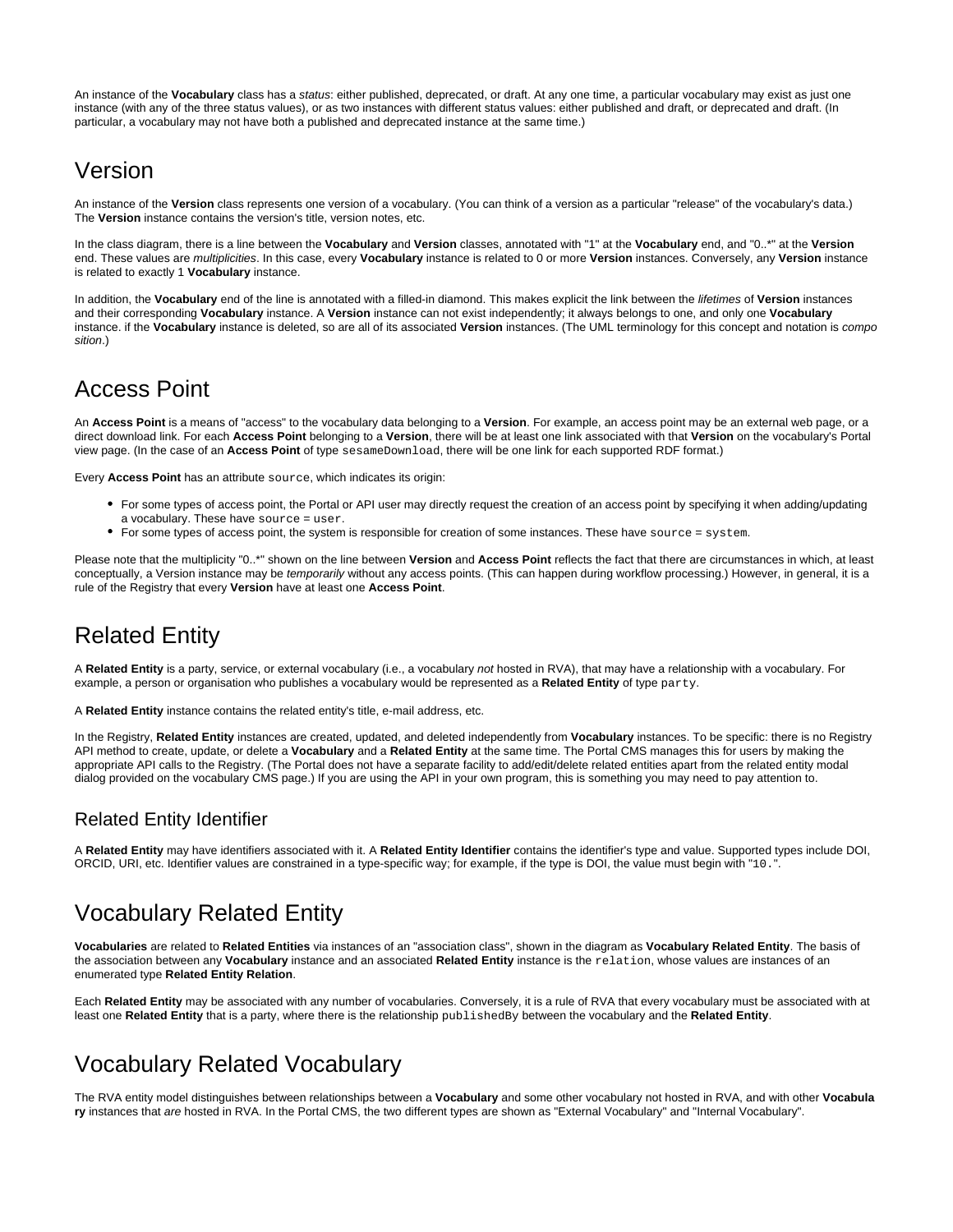An instance of the **Vocabulary** class has a status: either published, deprecated, or draft. At any one time, a particular vocabulary may exist as just one instance (with any of the three status values), or as two instances with different status values: either published and draft, or deprecated and draft. (In particular, a vocabulary may not have both a published and deprecated instance at the same time.)

#### Version

An instance of the **Version** class represents one version of a vocabulary. (You can think of a version as a particular "release" of the vocabulary's data.) The **Version** instance contains the version's title, version notes, etc.

In the class diagram, there is a line between the **Vocabulary** and **Version** classes, annotated with "1" at the **Vocabulary** end, and "0..\*" at the **Version** end. These values are multiplicities. In this case, every **Vocabulary** instance is related to 0 or more **Version** instances. Conversely, any **Version** instance is related to exactly 1 **Vocabulary** instance.

In addition, the **Vocabulary** end of the line is annotated with a filled-in diamond. This makes explicit the link between the lifetimes of **Version** instances and their corresponding **Vocabulary** instance. A **Version** instance can not exist independently; it always belongs to one, and only one **Vocabulary** instance. if the **Vocabulary** instance is deleted, so are all of its associated **Version** instances. (The UML terminology for this concept and notation is compo sition.)

### Access Point

An **Access Point** is a means of "access" to the vocabulary data belonging to a **Version**. For example, an access point may be an external web page, or a direct download link. For each **Access Point** belonging to a **Version**, there will be at least one link associated with that **Version** on the vocabulary's Portal view page. (In the case of an **Access Point** of type sesameDownload, there will be one link for each supported RDF format.)

Every **Access Point** has an attribute source, which indicates its origin:

- For some types of access point, the Portal or API user may directly request the creation of an access point by specifying it when adding/updating a vocabulary. These have source = user.
- For some types of access point, the system is responsible for creation of some instances. These have source = system.

Please note that the multiplicity "0..\*" shown on the line between **Version** and **Access Point** reflects the fact that there are circumstances in which, at least conceptually, a Version instance may be temporarily without any access points. (This can happen during workflow processing.) However, in general, it is a rule of the Registry that every **Version** have at least one **Access Point**.

## Related Entity

A **Related Entity** is a party, service, or external vocabulary (i.e., a vocabulary not hosted in RVA), that may have a relationship with a vocabulary. For example, a person or organisation who publishes a vocabulary would be represented as a **Related Entity** of type party.

A **Related Entity** instance contains the related entity's title, e-mail address, etc.

In the Registry, **Related Entity** instances are created, updated, and deleted independently from **Vocabulary** instances. To be specific: there is no Registry API method to create, update, or delete a **Vocabulary** and a **Related Entity** at the same time. The Portal CMS manages this for users by making the appropriate API calls to the Registry. (The Portal does not have a separate facility to add/edit/delete related entities apart from the related entity modal dialog provided on the vocabulary CMS page.) If you are using the API in your own program, this is something you may need to pay attention to.

#### Related Entity Identifier

A **Related Entity** may have identifiers associated with it. A **Related Entity Identifier** contains the identifier's type and value. Supported types include DOI, ORCID, URI, etc. Identifier values are constrained in a type-specific way; for example, if the type is DOI, the value must begin with "10.".

## Vocabulary Related Entity

**Vocabularies** are related to **Related Entities** via instances of an "association class", shown in the diagram as **Vocabulary Related Entity**. The basis of the association between any **Vocabulary** instance and an associated **Related Entity** instance is the relation, whose values are instances of an enumerated type **Related Entity Relation**.

Each **Related Entity** may be associated with any number of vocabularies. Conversely, it is a rule of RVA that every vocabulary must be associated with at least one **Related Entity** that is a party, where there is the relationship publishedBy between the vocabulary and the **Related Entity**.

## Vocabulary Related Vocabulary

The RVA entity model distinguishes between relationships between a **Vocabulary** and some other vocabulary not hosted in RVA, and with other **Vocabula ry** instances that are hosted in RVA. In the Portal CMS, the two different types are shown as "External Vocabulary" and "Internal Vocabulary".